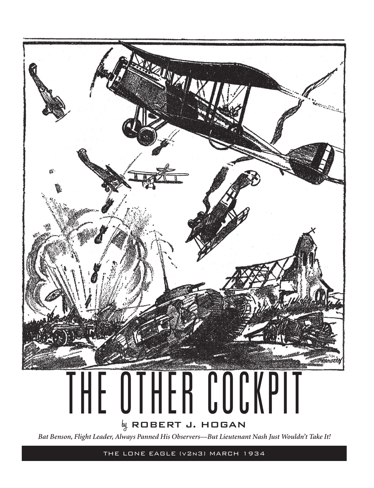

THE LONE EAGLE (v2n3) MARCH 1934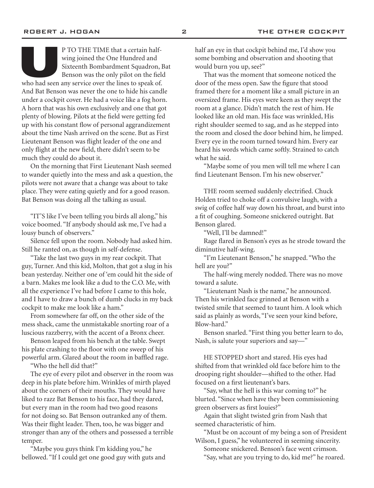P TO THE TIME that a certain half-<br>wing joined the One Hundred and<br>Sixteenth Bombardment Squadron, I<br>Benson was the only pilot on the field<br>who had seen any service over the lines to speak of. wing joined the One Hundred and Sixteenth Bombardment Squadron, Bat Benson was the only pilot on the field And Bat Benson was never the one to hide his candle under a cockpit cover. He had a voice like a fog horn. A horn that was his own exclusively and one that got plenty of blowing. Pilots at the field were getting fed up with his constant flow of personal aggrandizement about the time Nash arrived on the scene. But as First Lieutenant Benson was flight leader of the one and only flight at the new field, there didn't seem to be much they could do about it.

On the morning that First Lieutenant Nash seemed to wander quietly into the mess and ask a question, the pilots were not aware that a change was about to take place. They were eating quietly and for a good reason. Bat Benson was doing all the talking as usual.

"IT'S like I've been telling you birds all along," his voice boomed. "If anybody should ask me, I've had a lousy bunch of observers."

Silence fell upon the room. Nobody had asked him. Still he ranted on, as though in self-defense.

"Take the last two guys in my rear cockpit. That guy, Turner. And this kid, Molton, that got a slug in his bean yesterday. Neither one of 'em could hit the side of a barn. Makes me look like a dud to the C.O. Me, with all the experience I've had before I came to this hole, and I have to draw a bunch of dumb clucks in my back cockpit to make me look like a ham."

From somewhere far off, on the other side of the mess shack, came the unmistakable snorting roar of a luscious razzberry, with the accent of a Bronx cheer.

Benson leaped from his bench at the table. Swept his plate crashing to the floor with one sweep of his powerful arm. Glared about the room in baffled rage.

"Who the hell did that?"

The eye of every pilot and observer in the room was deep in his plate before him. Wrinkles of mirth played about the corners of their mouths. They would have liked to razz Bat Benson to his face, had they dared, but every man in the room had two good reasons for not doing so. Bat Benson outranked any of them. Was their flight leader. Then, too, he was bigger and stronger than any of the others and possessed a terrible temper.

"Maybe you guys think I'm kidding you," he bellowed. "If I could get one good guy with guts and half an eye in that cockpit behind me, I'd show you some bombing and observation and shooting that would burn you up, see?"

That was the moment that someone noticed the door of the mess open. Saw the figure that stood framed there for a moment like a small picture in an oversized frame. His eyes were keen as they swept the room at a glance. Didn't match the rest of him. He looked like an old man. His face was wrinkled, His right shoulder seemed to sag, and as he stepped into the room and closed the door behind him, he limped. Every eye in the room turned toward him. Every ear heard his words which came softly. Strained to catch what he said.

"Maybe some of you men will tell me where I can find Lieutenant Benson. I'm his new observer."

THE room seemed suddenly electrified. Chuck Holden tried to choke off a convulsive laugh, with a swig of coffee half way down his throat, and burst into a fit of coughing. Someone snickered outright. Bat Benson glared.

"Well, I'll be damned!"

Rage flared in Benson's eyes as he strode toward the diminutive half-wing.

"I'm Lieutenant Benson," he snapped. "Who the hell are you?"

The half-wing merely nodded. There was no move toward a salute.

"Lieutenant Nash is the name," he announced. Then his wrinkled face grinned at Benson with a twisted smile that seemed to taunt him. A look which said as plainly as words, "I've seen your kind before, Blow-hard."

Benson snarled. "First thing you better learn to do, Nash, is salute your superiors and say—"

HE STOPPED short and stared. His eyes had shifted from that wrinkled old face before him to the drooping right shoulder—shifted to the other. Had focused on a first lieutenant's bars.

"Say, what the hell is this war coming to?" he blurted. "Since when have they been commissioning green observers as first louies?"

Again that slight twisted grin from Nash that seemed characteristic of him.

"Must be on account of my being a son of President Wilson, I guess," he volunteered in seeming sincerity. Someone snickered. Benson's face went crimson. "Say, what are you trying to do, kid me?" he roared.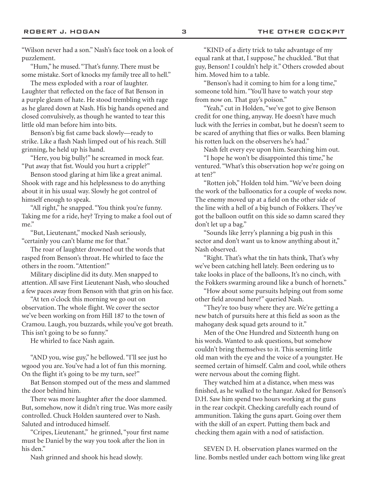"Hum," he mused. "That's funny. There must be some mistake. Sort of knocks my family tree all to hell."

The mess exploded with a roar of laughter. Laughter that reflected on the face of Bat Benson in a purple gleam of hate. He stood trembling with rage as he glared down at Nash. His big hands opened and closed convulsively, as though he wanted to tear this little old man before him into bits.

Benson's big fist came back slowly—ready to strike. Like a flash Nash limped out of his reach. Still grinning, he held up his hand.

"Here, you big bully!" he screamed in mock fear. "Put away that fist. Would you hurt a cripple?"

Benson stood glaring at him like a great animal. Shook with rage and his helplessness to do anything about it in his usual way. Slowly he got control of himself enough to speak.

"All right," he snapped. "You think you're funny. Taking me for a ride, hey? Trying to make a fool out of me."

"But, Lieutenant," mocked Nash seriously, "certainly you can't blame me for that."

The roar of laughter drowned out the words that rasped from Benson's throat. He whirled to face the others in the room. "Attention!"

Military discipline did its duty. Men snapped to attention. All save First Lieutenant Nash, who slouched a few paces away from Benson with that grin on his face.

"At ten o'clock this morning we go out on observation. The whole flight. We cover the sector we've been working on from Hill 187 to the town of Cramou. Laugh, you buzzards, while you've got breath. This isn't going to be so funny."

He whirled to face Nash again.

"AND you, wise guy," he bellowed. "I'll see just ho wgood you are. You've had a lot of fun this morning. On the flight it's going to be my turn, see?"

Bat Benson stomped out of the mess and slammed the door behind him.

There was more laughter after the door slammed. But, somehow, now it didn't ring true. Was more easily controlled. Chuck Holden sauntered over to Nash. Saluted and introduced himself.

"Cripes, Lieutenant," he grinned, "your first name must be Daniel by the way you took after the lion in his den."

Nash grinned and shook his head slowly.

"KIND of a dirty trick to take advantage of my equal rank at that, I suppose," he chuckled. "But that guy, Benson! I couldn't help it." Others crowded about him. Moved him to a table.

"Benson's had it coming to him for a long time," someone told him. "You'll have to watch your step from now on. That guy's poison."

"Yeah," cut in Holden, "we've got to give Benson credit for one thing, anyway. He doesn't have much luck with the Jerries in combat, but he doesn't seem to be scared of anything that flies or walks. Been blaming his rotten luck on the observers he's had."

Nash felt every eye upon him. Searching him out. "I hope he won't be disappointed this time," he ventured. "What's this observation hop we're going on at ten?"

"Rotten job," Holden told him. "We've been doing the work of the balloonatics for a couple of weeks now. The enemy moved up at a field on the other side of the line with a hell of a big bunch of Fokkers. They've got the balloon outfit on this side so damn scared they don't let up a bag."

"Sounds like Jerry's planning a big push in this sector and don't want us to know anything about it," Nash observed.

"Right. That's what the tin hats think, That's why we've been catching hell lately. Been ordering us to take looks in place of the balloons, It's no cinch, with the Fokkers swarming around like a bunch of hornets."

"How about some pursuits helping out from some other field around here?" queried Nash.

"They're too busy where they are. We're getting a new batch of pursuits here at this field as soon as the mahogany desk squad gets around to it."

Men of the One Hundred and Sixteenth hung on his words. Wanted to ask questions, but somehow couldn't bring themselves to it. This seeming little old man with the eye and the voice of a youngster. He seemed certain of himself. Calm and cool, while others were nervous about the coming flight.

They watched him at a distance, when mess was finished, as he walked to the hangar. Asked for Benson's D.H. Saw him spend two hours working at the guns in the rear cockpit. Checking carefully each round of ammunition. Taking the guns apart. Going over them with the skill of an expert. Putting them back and checking them again with a nod of satisfaction.

SEVEN D. H. observation planes warmed on the line. Bombs nestled under each bottom wing like great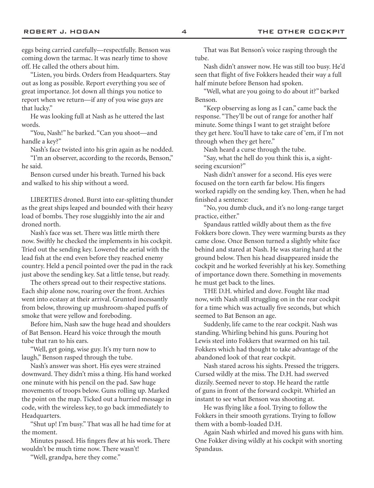eggs being carried carefully—respectfully. Benson was coming down the tarmac. It was nearly time to shove off. He called the others about him.

"Listen, you birds. Orders from Headquarters. Stay out as long as possible. Report everything you see of great importance. Jot down all things you notice to report when we return—if any of you wise guys are that lucky."

He was looking full at Nash as he uttered the last words.

"You, Nash!" he barked. "Can you shoot—and handle a key?"

Nash's face twisted into his grin again as he nodded.

"I'm an observer, according to the records, Benson," he said.

Benson cursed under his breath. Turned his back and walked to his ship without a word.

LIBERTIES droned. Burst into ear-splitting thunder as the great ships leaped and bounded with their heavy load of bombs. They rose sluggishly into the air and droned north.

Nash's face was set. There was little mirth there now. Swiftly he checked the implements in his cockpit. Tried out the sending key. Lowered the aerial with the lead fish at the end even before they reached enemy country. Held a pencil pointed over the pad in the rack just above the sending key. Sat a little tense, but ready.

The others spread out to their respective stations. Each ship alone now, roaring over the front. Archies went into ecstasy at their arrival. Grunted incessantly from below, throwing up mushroom-shaped puffs of smoke that were yellow and foreboding.

Before him, Nash saw the huge head and shoulders of Bat Benson. Heard his voice through the mouth tube that ran to his ears.

"Well, get going, wise guy. It's my turn now to laugh," Benson rasped through the tube.

Nash's answer was short. His eyes were strained downward. They didn't miss a thing. His hand worked one minute with his pencil on the pad. Saw huge movements of troops below. Guns rolling up. Marked the point on the map. Ticked out a hurried message in code, with the wireless key, to go back immediately to Headquarters.

"Shut up! I'm busy." That was all he had time for at the moment.

Minutes passed. His fingers flew at his work. There wouldn't be much time now. There wasn't!

"Well, grandpa, here they come."

That was Bat Benson's voice rasping through the tube.

Nash didn't answer now. He was still too busy. He'd seen that flight of five Fokkers headed their way a full half minute before Benson had spoken.

"Well, what are you going to do about it?" barked Benson.

"Keep observing as long as I can," came back the response. "They'll be out of range for another half minute. Some things I want to get straight before they get here. You'll have to take care of 'em, if I'm not through when they get here."

Nash heard a curse through the tube.

"Say, what the hell do you think this is, a sightseeing excursion?"

Nash didn't answer for a second. His eyes were focused on the torn earth far below. His fingers worked rapidly on the sending key. Then, when he had finished a sentence:

"No, you dumb cluck, and it's no long-range target practice, either."

Spandaus rattled wildly about them as the five Fokkers bore clown. They were warming bursts as they came close. Once Benson turned a slightly white face behind and stared at Nash. He was staring hard at the ground below. Then his head disappeared inside the cockpit and he worked feverishly at his key. Something of importance down there. Something in movements he must get back to the lines.

THE D.H. whirled and dove. Fought like mad now, with Nash still struggling on in the rear cockpit for a time which was actually five seconds, but which seemed to Bat Benson an age.

Suddenly, life came to the rear cockpit. Nash was standing. Whirling behind his guns. Pouring hot Lewis steel into Fokkers that swarmed on his tail. Fokkers which had thought to take advantage of the abandoned look of that rear cockpit.

Nash stared across his sights. Pressed the triggers. Cursed wildly at the miss. The D.H. had swerved dizzily. Seemed never to stop. He heard the rattle of guns in front of the forward cockpit. Whirled an instant to see what Benson was shooting at.

He was flying like a fool. Trying to follow the Fokkers in their smooth gyrations. Trying to follow them with a bomb-loaded D.H.

Again Nash whirled and moved his guns with him. One Fokker diving wildly at his cockpit with snorting Spandaus.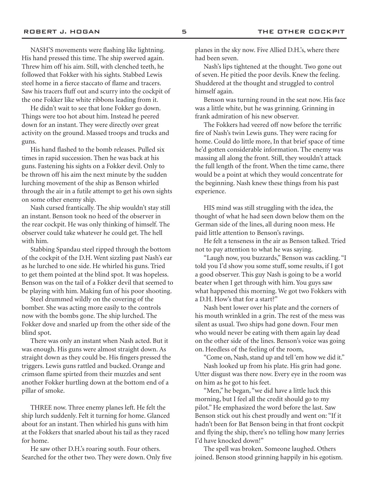NASH'S movements were flashing like lightning. His hand pressed this time. The ship swerved again. Threw him off his aim. Still, with clenched teeth, he followed that Fokker with his sights. Stabbed Lewis steel home in a fierce staccato of flame and tracers. Saw his tracers fluff out and scurry into the cockpit of the one Fokker like white ribbons leading from it.

He didn't wait to see that lone Fokker go down. Things were too hot about him. Instead he peered down for an instant. They were directly over great activity on the ground. Massed troops and trucks and guns.

His hand flashed to the bomb releases. Pulled six times in rapid succession. Then he was back at his guns. Fastening his sights on a Fokker devil. Only to be thrown off his aim the next minute by the sudden lurching movement of the ship as Benson whirled through the air in a futile attempt to get his own sights on some other enemy ship.

Nash cursed frantically. The ship wouldn't stay still an instant. Benson took no heed of the observer in the rear cockpit. He was only thinking of himself. The observer could take whatever he could get. The hell with him.

Stabbing Spandau steel ripped through the bottom of the cockpit of the D.H. Went sizzling past Nash's ear as he lurched to one side. He whirled his guns. Tried to get them pointed at the blind spot. It was hopeless. Benson was on the tail of a Fokker devil that seemed to be playing with him. Making fun of his poor shooting.

Steel drummed wildly on the covering of the bomber. She was acting more easily to the controls now with the bombs gone. The ship lurched. The Fokker dove and snarled up from the other side of the blind spot.

There was only an instant when Nash acted. But it was enough. His guns were almost straight down. As straight down as they could be. His fingers pressed the triggers. Lewis guns rattled and bucked. Orange and crimson flame spirted from their muzzles and sent another Fokker hurtling down at the bottom end of a pillar of smoke.

THREE now. Three enemy planes left. He felt the ship lurch suddenly. Felt it turning for home. Glanced about for an instant. Then whirled his guns with him at the Fokkers that snarled about his tail as they raced for home.

He saw other D.H.'s roaring south. Four others. Searched for the other two. They were down. Only five

planes in the sky now. Five Allied D.H.'s, where there had been seven.

Nash's lips tightened at the thought. Two gone out of seven. He pitied the poor devils. Knew the feeling. Shuddered at the thought and struggled to control himself again.

Benson was turning round in the seat now. His face was a little white, but he was grinning. Grinning in frank admiration of his new observer.

The Fokkers had veered off now before the terrific fire of Nash's twin Lewis guns. They were racing for home. Could do little more, In that brief space of time he'd gotten considerable information. The enemy was massing all along the front. Still, they wouldn't attack the full length of the front. When the time came, there would be a point at which they would concentrate for the beginning. Nash knew these things from his past experience.

HIS mind was still struggling with the idea, the thought of what he had seen down below them on the German side of the lines, all during noon mess. He paid little attention to Benson's ravings.

He felt a tenseness in the air as Benson talked. Tried not to pay attention to what he was saying.

"Laugh now, you buzzards," Benson was cackling. "I told you I'd show you some stuff, some results, if I got a good observer. This guy Nash is going to be a world beater when I get through with him. You guys saw what happened this morning. We got two Fokkers with a D.H. How's that for a start?"

Nash bent lower over his plate and the corners of his mouth wrinkled in a grin. The rest of the mess was silent as usual. Two ships had gone down. Four men who would never be eating with them again lay dead on the other side of the lines. Benson's voice was going on. Heedless of the feeling of the room,

"Come on, Nash, stand up and tell 'em how we did it." Nash looked up from his plate. His grin had gone.

Utter disgust was there now. Every eye in the room was on him as he got to his feet.

"Men," he began, "we did have a little luck this morning, but I feel all the credit should go to my pilot." He emphasized the word before the last. Saw Benson stick out his chest proudly and went on: "If it hadn't been for Bat Benson being in that front cockpit and flying the ship, there's no telling how many Jerries I'd have knocked down!"

The spell was broken. Someone laughed. Others joined. Benson stood grinning happily in his egotism.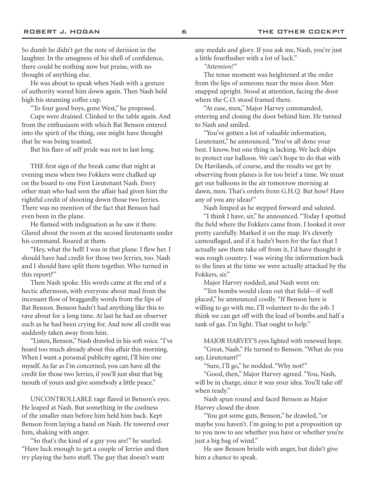So dumb he didn't get the note of derision in the laughter. In the smugness of his shell of confidence, there could be nothing now but praise, with no thought of anything else.

He was about to speak when Nash with a gesture of authority waved him down again. Then Nash held high his steaming coffee cup.

"To four good boys, gone West," he proposed. Cups were drained. Clinked to the table again. And

from the enthusiasm with which Bat Benson entered into the spirit of the thing, one might have thought that he was being toasted.

But his flare of self pride was not to last long.

THE first sign of the break came that night at evening mess when two Fokkers were chalked up on the board to one First Lieutenant Nash. Every other man who had seen the affair had given him the rightful credit of shooting down those two Jerries. There was no mention of the fact that Benson had even been in the plane.

He flamed with indignation as he saw it there. Glared about the room at the second lieutenants under his command. Roared at them.

"Hey, what the hell! I was in that plane. I flew her. I should have had credit for those two Jerries, too. Nash and I should have split them together. Who turned in this report?"

Then Nash spoke. His words came at the end of a hectic afternoon, with everyone about mad from the incessant flow of braggardly words from the lips of Bat Benson. Benson hadn't had anything like this to rave about for a long time. At last he had an observer such as he had been crying for. And now all credit was suddenly taken away from him.

"Listen, Benson," Nash drawled in his soft voice. "I've heard too much already about this affair this morning. When I want a personal publicity agent, I'll hire one myself. As far as I'm concerned, you can have all the credit for those two Jerries, if you'll just shut that big mouth of yours and give somebody a little peace."

UNCONTROLLABLE rage flared in Benson's eyes. He leaped at Nash. But something in the coolness of the smaller man before him held him back. Kept Benson from laying a hand on Nash. He towered over him, shaking with anger.

"So that's the kind of a guy you are!" he snarled. "Have luck enough to get a couple of Jerries and then try playing the hero stuff. The guy that doesn't want

any medals and glory. If you ask me, Nash, you're just a little fourflusher with a lot of luck."

*"Attention!"*

The tense moment was heightened at the order from the lips of someone near the mess door. Men snapped upright. Stood at attention, facing the door where the C.O. stood framed there.

"At ease, men," Major Harvey commanded, entering and closing the door behind him. He turned to Nash and smiled.

"You've gotten a lot of valuable information, Lieutenant," he announced. "You've all done your best. I know, but one thing is lacking. We lack ships to protect our balloon. We can't hope to do that with De Havilands, of course, and the results we get by observing from planes is for too brief a time. We must get our balloons in the air tomorrow morning at dawn, men. That's orders from G.H.Q. But how? Have any of you any ideas?"

Nash limped as he stepped forward and saluted.

"I think I have, sir," he announced. "Today I spotted the field where the Fokkers came from. I looked it over pretty carefully. Marked it on the map. It's cleverly camouflaged, and if it hadn't been for the fact that I actually saw them take off from it, I'd have thought it was rough country. I was wiring the information back to the lines at the time we were actually attacked by the Fokkers, sir."

Major Harvey nodded, and Nash went on:

"Ten bombs would clean out that field—if well placed," he announced coolly. "If Benson here is willing to go with me, I'll volunteer to do the job. I think we can get off with the load of bombs and half a tank of gas. I'm light. That ought to help."

MAJOR HARVEY'S eyes lighted with renewed hope. "Great, Nash." He turned to Benson. "What do you say, Lieutenant?"

"Sure, I'll go," he nodded. "Why not?"

"Good, then," Major Harvey agreed. "You, Nash, will be in charge, since it was your idea. You'll take off when ready."

Nash spun round and faced Benson as Major Harvey closed the door.

"You got some guts, Benson," he drawled, "or maybe you haven't. I'm going to put a proposition up to you now to see whether you have or whether you're just a big bag of wind."

He saw Benson bristle with anger, but didn't give him a chance to speak.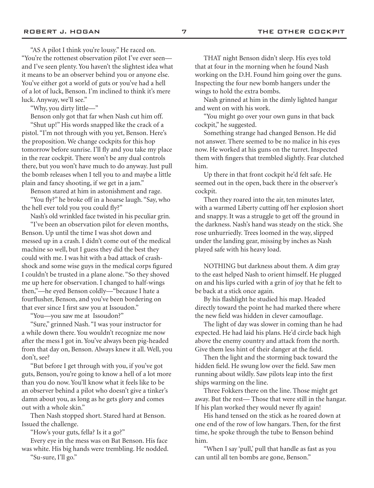"AS A pilot I think you're lousy." He raced on. "You're the rottenest observation pilot I've ever seen and I've seen plenty. You haven't the slightest idea what it means to be an observer behind you or anyone else. You've either got a world of guts or you've had a hell of a lot of luck, Benson. I'm inclined to think it's mere luck. Anyway, we'll see."

"Why, you dirty little—"

Benson only got that far when Nash cut him off.

"Shut up!" His words snapped like the crack of a pistol. "I'm not through with you yet, Benson. Here's the proposition. We change cockpits for this hop tomorrow before sunrise. I'll fly and you take my place in the rear cockpit. There won't be any dual controls there, but you won't have much to do anyway. Just pull the bomb releases when I tell you to and maybe a little plain and fancy shooting, if we get in a jam."

Benson stared at him in astonishment and rage. "You fly?" he broke off in a hoarse laugh. "Say, who the hell ever told you you could fly?"

Nash's old wrinkled face twisted in his peculiar grin.

"I've been an observation pilot for eleven months, Benson. Up until the time I was shot down and messed up in a crash. I didn't come out of the medical machine so well, but I guess they did the best they could with me. I was hit with a bad attack of crashshock and some wise guys in the medical corps figured I couldn't be trusted in a plane alone. "So they shoved me up here for observation. I changed to half-wings then,"—he eyed Benson coldly—"because I hate a fourflusher, Benson, and you've been bordering on that ever since I first saw you at Issoudon."

"You—you saw me at Issoudon?"

"Sure," grinned Nash. "I was your instructor for a while down there. You wouldn't recognize me now after the mess I got in. You've always been pig-headed from that day on, Benson. Always knew it all. Well, you don't, see?

"But before I get through with you, if you've got guts, Benson, you're going to know a hell of a lot more than you do now. You'll know what it feels like to be an observer behind a pilot who doesn't give a tinker's damn about you, as long as he gets glory and comes out with a whole skin."

Then Nash stopped short. Stared hard at Benson. Issued the challenge.

"How's your guts, fella? Is it a go?"

Every eye in the mess was on Bat Benson. His face was white. His big hands were trembling. He nodded. "Su-sure, I'll go."

THAT night Benson didn't sleep. His eyes told that at four in the morning when he found Nash working on the D.H. Found him going over the guns. Inspecting the four new bomb hangers under the wings to hold the extra bombs.

Nash grinned at him in the dimly lighted hangar and went on with his work.

"You might go over your own guns in that back cockpit," he suggested.

Something strange had changed Benson. He did not answer. There seemed to be no malice in his eyes now. He worked at his guns on the turret. Inspected them with fingers that trembled slightly. Fear clutched him.

Up there in that front cockpit he'd felt safe. He seemed out in the open, back there in the observer's cockpit.

Then they roared into the air, ten minutes later, with a warmed Liberty cutting off her explosion short and snappy. It was a struggle to get off the ground in the darkness. Nash's hand was steady on the stick. She rose unhurriedly. Trees loomed in the way, slipped under the landing gear, missing by inches as Nash played safe with his heavy load.

NOTHING but darkness about them. A dim gray to the east helped Nash to orient himself. He plugged on and his lips curled with a grin of joy that he felt to be back at a stick once again.

By his flashlight he studied his map. Headed directly toward the point he had marked there where the new field was hidden in clever camouflage.

The light of day was slower in coming than he had expected. He had laid his plans. He'd circle back high above the enemy country and attack from the north. Give them less hint of their danger at the field.

Then the light and the storming back toward the hidden field. He swung low over the field. Saw men running about wildly. Saw pilots leap into the first ships warming on the line.

Three Fokkers there on the line. Those might get away. But the rest— Those that were still in the hangar. If his plan worked they would never fly again!

His hand tensed on the stick as he roared down at one end of the row of low hangars. Then, for the first time, he spoke through the tube to Benson behind him.

"When I say 'pull,' pull that handle as fast as you can until all ten bombs are gone, Benson."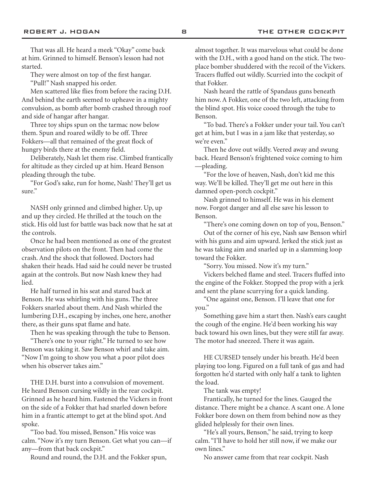That was all. He heard a meek "Okay" come back at him. Grinned to himself. Benson's lesson had not started.

They were almost on top of the first hangar.

"Pull!" Nash snapped his order.

Men scattered like flies from before the racing D.H. And behind the earth seemed to upheave in a mighty convulsion, as bomb after bomb crashed through roof and side of hangar after hangar.

Three toy ships spun on the tarmac now below them. Spun and roared wildly to be off. Three Fokkers—all that remained of the great flock of hungry birds there at the enemy field.

Deliberately, Nash let them rise. Climbed frantically for altitude as they circled up at him. Heard Benson pleading through the tube.

"For God's sake, run for home, Nash! They'll get us sure."

NASH only grinned and climbed higher. Up, up and up they circled. He thrilled at the touch on the stick. His old lust for battle was back now that he sat at the controls.

Once he had been mentioned as one of the greatest observation pilots on the front. Then had come the crash. And the shock that followed. Doctors had shaken their heads. Had said he could never be trusted again at the controls. But now Nash knew they had lied.

He half turned in his seat and stared back at Benson. He was whirling with his guns. The three Fokkers snarled about them. And Nash whirled the lumbering D.H., escaping by inches, one here, another there, as their guns spat flame and hate.

Then he was speaking through the tube to Benson.

"There's one to your right." He turned to see how Benson was taking it. Saw Benson whirl and take aim. "Now I'm going to show you what a poor pilot does when his observer takes aim."

THE D.H. burst into a convulsion of movement. He heard Benson cursing wildly in the rear cockpit. Grinned as he heard him. Fastened the Vickers in front on the side of a Fokker that had snarled down before him in a frantic attempt to get at the blind spot. And spoke.

"Too bad. You missed, Benson." His voice was calm. "Now it's my turn Benson. Get what you can—if any—from that back cockpit."

Round and round, the D.H. and the Fokker spun,

almost together. It was marvelous what could be done with the D.H., with a good hand on the stick. The twoplace bomber shuddered with the recoil of the Vickers. Tracers fluffed out wildly. Scurried into the cockpit of that Fokker.

Nash heard the rattle of Spandaus guns beneath him now. A Fokker, one of the two left, attacking from the blind spot. His voice cooed through the tube to Benson.

"To bad. There's a Fokker under your tail. You can't get at him, but I was in a jam like that yesterday, so we're even."

Then he dove out wildly. Veered away and swung back. Heard Benson's frightened voice coming to him —pleading.

"For the love of heaven, Nash, don't kid me this way. We'll be killed. They'll get me out here in this damned open-porch cockpit."

Nash grinned to himself. He was in his element now. Forgot danger and all else save his lesson to Benson.

"There's one coming down on top of you, Benson."

Out of the corner of his eye, Nash saw Benson whirl with his guns and aim upward. Jerked the stick just as he was taking aim and snarled up in a slamming loop toward the Fokker.

"Sorry. You missed. Now it's my turn."

Vickers belched flame and steel. Tracers fluffed into the engine of the Fokker. Stopped the prop with a jerk and sent the plane scurrying for a quick landing.

"One against one, Benson. I'll leave that one for you."

Something gave him a start then. Nash's ears caught the cough of the engine. He'd been working his way back toward his own lines, but they were still far away. The motor had sneezed. There it was again.

HE CURSED tensely under his breath. He'd been playing too long. Figured on a full tank of gas and had forgotten he'd started with only half a tank to lighten the load.

The tank was empty!

Frantically, he turned for the lines. Gauged the distance. There might be a chance. A scant one. A lone Fokker bore down on them from behind now as they glided helplessly for their own lines.

"He's all yours, Benson," he said, trying to keep calm. "I'll have to hold her still now, if we make our own lines."

No answer came from that rear cockpit. Nash